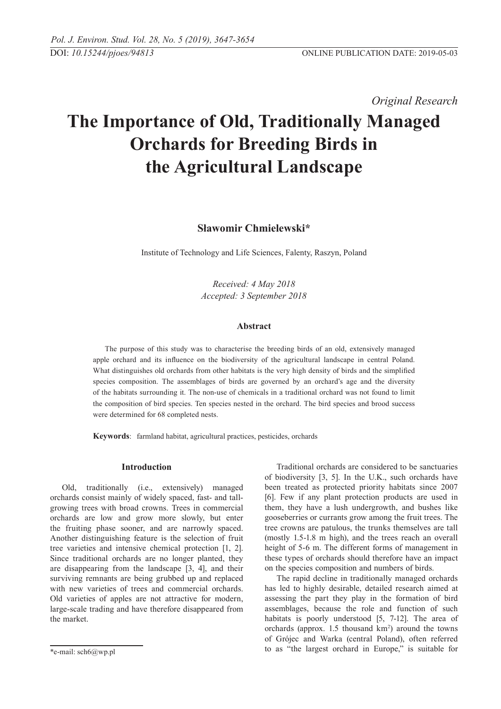*Original Research* 

# **The Importance of Old, Traditionally Managed Orchards for Breeding Birds in the Agricultural Landscape**

**Sławomir Chmielewski\***

Institute of Technology and Life Sciences, Falenty, Raszyn, Poland

*Received: 4 May 2018 Accepted: 3 September 2018*

# **Abstract**

The purpose of this study was to characterise the breeding birds of an old, extensively managed apple orchard and its influence on the biodiversity of the agricultural landscape in central Poland. What distinguishes old orchards from other habitats is the very high density of birds and the simplified species composition. The assemblages of birds are governed by an orchard's age and the diversity of the habitats surrounding it. The non-use of chemicals in a traditional orchard was not found to limit the composition of bird species. Ten species nested in the orchard. The bird species and brood success were determined for 68 completed nests.

**Keywords**: farmland habitat, agricultural practices, pesticides, orchards

### **Introduction**

Old, traditionally (i.e., extensively) managed orchards consist mainly of widely spaced, fast- and tallgrowing trees with broad crowns. Trees in commercial orchards are low and grow more slowly, but enter the fruiting phase sooner, and are narrowly spaced. Another distinguishing feature is the selection of fruit tree varieties and intensive chemical protection [1, 2]. Since traditional orchards are no longer planted, they are disappearing from the landscape [3, 4], and their surviving remnants are being grubbed up and replaced with new varieties of trees and commercial orchards. Old varieties of apples are not attractive for modern, large-scale trading and have therefore disappeared from the market.

Traditional orchards are considered to be sanctuaries of biodiversity [3, 5]. In the U.K., such orchards have been treated as protected priority habitats since 2007 [6]. Few if any plant protection products are used in them, they have a lush undergrowth, and bushes like gooseberries or currants grow among the fruit trees. The tree crowns are patulous, the trunks themselves are tall (mostly 1.5-1.8 m high), and the trees reach an overall height of 5-6 m. The different forms of management in these types of orchards should therefore have an impact on the species composition and numbers of birds.

The rapid decline in traditionally managed orchards has led to highly desirable, detailed research aimed at assessing the part they play in the formation of bird assemblages, because the role and function of such habitats is poorly understood [5, 7-12]. The area of orchards (approx.  $1.5$  thousand  $km<sup>2</sup>$ ) around the towns of Grójec and Warka (central Poland), often referred to as "the largest orchard in Europe," is suitable for

<sup>\*</sup>e-mail: sch6@wp.pl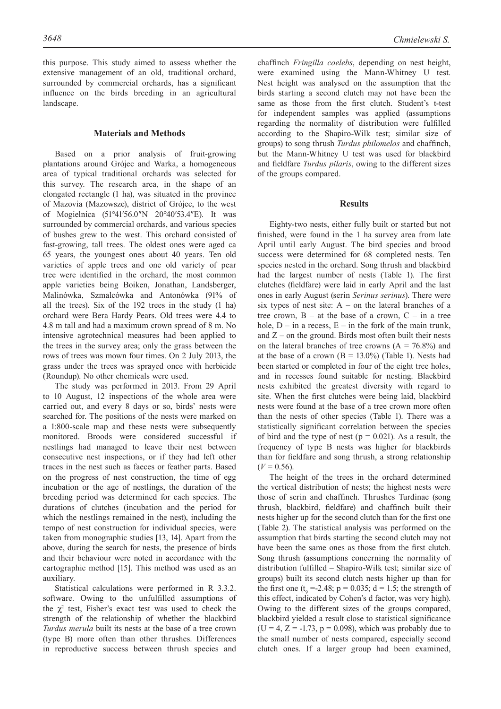this purpose. This study aimed to assess whether the extensive management of an old, traditional orchard, surrounded by commercial orchards, has a significant influence on the birds breeding in an agricultural landscape.

# **Materials and Methods**

Based on a prior analysis of fruit-growing plantations around Grójec and Warka, a homogeneous area of typical traditional orchards was selected for this survey. The research area, in the shape of an elongated rectangle (1 ha), was situated in the province of Mazovia (Mazowsze), district of Grójec, to the west of Mogielnica (51°41′56.0″N 20°40′53.4″E). It was surrounded by commercial orchards, and various species of bushes grew to the west. This orchard consisted of fast-growing, tall trees. The oldest ones were aged ca 65 years, the youngest ones about 40 years. Ten old varieties of apple trees and one old variety of pear tree were identified in the orchard, the most common apple varieties being Boiken, Jonathan, Landsberger, Malinówka, Szmalcówka and Antonówka (91% of all the trees). Six of the 192 trees in the study (1 ha) orchard were Bera Hardy Pears. Old trees were 4.4 to 4.8 m tall and had a maximum crown spread of 8 m. No intensive agrotechnical measures had been applied to the trees in the survey area; only the grass between the rows of trees was mown four times. On 2 July 2013, the grass under the trees was sprayed once with herbicide (Roundup). No other chemicals were used.

The study was performed in 2013. From 29 April to 10 August, 12 inspections of the whole area were carried out, and every 8 days or so, birds' nests were searched for. The positions of the nests were marked on a 1:800-scale map and these nests were subsequently monitored. Broods were considered successful if nestlings had managed to leave their nest between consecutive nest inspections, or if they had left other traces in the nest such as faeces or feather parts. Based on the progress of nest construction, the time of egg incubation or the age of nestlings, the duration of the breeding period was determined for each species. The durations of clutches (incubation and the period for which the nestlings remained in the nest), including the tempo of nest construction for individual species, were taken from monographic studies [13, 14]. Apart from the above, during the search for nests, the presence of birds and their behaviour were noted in accordance with the cartographic method [15]. This method was used as an auxiliary.

Statistical calculations were performed in R 3.3.2. software. Owing to the unfulfilled assumptions of the  $\chi^2$  test, Fisher's exact test was used to check the strength of the relationship of whether the blackbird *Turdus merula* built its nests at the base of a tree crown (type B) more often than other thrushes. Differences in reproductive success between thrush species and

chaffinch *Fringilla coelebs*, depending on nest height, were examined using the Mann-Whitney U test. Nest height was analysed on the assumption that the birds starting a second clutch may not have been the same as those from the first clutch. Student's t-test for independent samples was applied (assumptions regarding the normality of distribution were fulfilled according to the Shapiro-Wilk test; similar size of groups) to song thrush *Turdus philomelos* and chaffinch, but the Mann-Whitney U test was used for blackbird and fieldfare *Turdus pilaris*, owing to the different sizes of the groups compared.

#### **Results**

Eighty-two nests, either fully built or started but not finished, were found in the 1 ha survey area from late April until early August. The bird species and brood success were determined for 68 completed nests. Ten species nested in the orchard. Song thrush and blackbird had the largest number of nests (Table 1). The first clutches (fieldfare) were laid in early April and the last ones in early August (serin *Serinus serinus*). There were six types of nest site:  $A - on$  the lateral branches of a tree crown,  $B - at$  the base of a crown,  $C - in$  a tree hole,  $D - in a recess$ ,  $E - in the fork of the main trunk$ , and  $Z$  – on the ground. Birds most often built their nests on the lateral branches of tree crowns  $(A = 76.8\%)$  and at the base of a crown  $(B = 13.0\%)$  (Table 1). Nests had been started or completed in four of the eight tree holes, and in recesses found suitable for nesting. Blackbird nests exhibited the greatest diversity with regard to site. When the first clutches were being laid, blackbird nests were found at the base of a tree crown more often than the nests of other species (Table 1). There was a statistically significant correlation between the species of bird and the type of nest ( $p = 0.021$ ). As a result, the frequency of type B nests was higher for blackbirds than for fieldfare and song thrush, a strong relationship  $(V = 0.56)$ .

The height of the trees in the orchard determined the vertical distribution of nests; the highest nests were those of serin and chaffinch. Thrushes Turdinae (song thrush, blackbird, fieldfare) and chaffinch built their nests higher up for the second clutch than for the first one (Table 2). The statistical analysis was performed on the assumption that birds starting the second clutch may not have been the same ones as those from the first clutch. Song thrush (assumptions concerning the normality of distribution fulfilled – Shapiro-Wilk test; similar size of groups) built its second clutch nests higher up than for the first one  $(t_9 = -2.48; p = 0.035; d = 1.5;$  the strength of this effect, indicated by Cohen's d factor, was very high). Owing to the different sizes of the groups compared, blackbird yielded a result close to statistical significance  $(U = 4, Z = -1.73, p = 0.098)$ , which was probably due to the small number of nests compared, especially second clutch ones. If a larger group had been examined,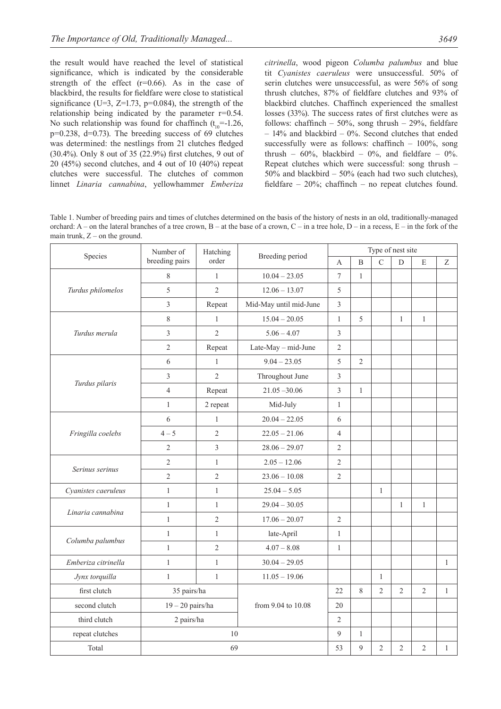the result would have reached the level of statistical significance, which is indicated by the considerable strength of the effect  $(r=0.66)$ . As in the case of blackbird, the results for fieldfare were close to statistical significance (U=3,  $Z=1.73$ ,  $p=0.084$ ), the strength of the relationship being indicated by the parameter r=0.54. No such relationship was found for chaffinch  $(t_{10} = -1.26$ , p=0.238, d=0.73). The breeding success of 69 clutches was determined: the nestlings from 21 clutches fledged (30.4%). Only 8 out of 35 (22.9%) first clutches, 9 out of 20 (45%) second clutches, and 4 out of 10 (40%) repeat clutches were successful. The clutches of common linnet *Linaria cannabina*, yellowhammer *Emberiza* 

*citrinella*, wood pigeon *Columba palumbus* and blue tit *Cyanistes caeruleus* were unsuccessful. 50% of serin clutches were unsuccessful, as were 56% of song thrush clutches, 87% of fieldfare clutches and 93% of blackbird clutches. Chaffinch experienced the smallest losses (33%). The success rates of first clutches were as follows: chaffinch –  $50\%$ , song thrush –  $29\%$ , fieldfare – 14% and blackbird – 0%. Second clutches that ended successfully were as follows: chaffinch – 100%, song thrush –  $60\%$ , blackbird –  $0\%$ , and fieldfare –  $0\%$ . Repeat clutches which were successful: song thrush – 50% and blackbird – 50% (each had two such clutches), fieldfare – 20%; chaffinch – no repeat clutches found.

Table 1. Number of breeding pairs and times of clutches determined on the basis of the history of nests in an old, traditionally-managed orchard:  $A$  – on the lateral branches of a tree crown,  $B$  – at the base of a crown,  $C$  – in a tree hole,  $D$  – in a recess,  $E$  – in the fork of the main trunk,  $Z$  – on the ground.

| Species             | Number of               | Hatching       | Breeding period        | Type of nest site |                |                |                |                |              |
|---------------------|-------------------------|----------------|------------------------|-------------------|----------------|----------------|----------------|----------------|--------------|
|                     | breeding pairs          | order          |                        | A                 | $\overline{B}$ | $\overline{C}$ | $\overline{D}$ | E              | Z            |
| Turdus philomelos   | 8                       | $\mathbf{1}$   | $10.04 - 23.05$        | $\overline{7}$    | $\mathbf{1}$   |                |                |                |              |
|                     | 5                       | $\overline{2}$ | $12.06 - 13.07$        | 5                 |                |                |                |                |              |
|                     | $\overline{\mathbf{3}}$ | Repeat         | Mid-May until mid-June | $\mathfrak{Z}$    |                |                |                |                |              |
| Turdus merula       | 8                       | $\mathbf{1}$   | $15.04 - 20.05$        | $\mathbf{1}$      | 5              |                | $\mathbf{1}$   | $\mathbf{1}$   |              |
|                     | $\overline{\mathbf{3}}$ | $\overline{2}$ | $5.06 - 4.07$          | $\mathfrak{Z}$    |                |                |                |                |              |
|                     | $\overline{2}$          | Repeat         | Late-May - mid-June    | $\overline{2}$    |                |                |                |                |              |
| Turdus pilaris      | 6                       | $\mathbf{1}$   | $9.04 - 23.05$         | 5                 | $\overline{2}$ |                |                |                |              |
|                     | $\overline{3}$          | $\overline{2}$ | Throughout June        | $\mathfrak{Z}$    |                |                |                |                |              |
|                     | $\overline{4}$          | Repeat         | $21.05 - 30.06$        | $\overline{3}$    | $\mathbf{1}$   |                |                |                |              |
|                     | $\mathbf{1}$            | 2 repeat       | Mid-July               | $\mathbf{1}$      |                |                |                |                |              |
|                     | 6                       | $\mathbf{1}$   | $20.04 - 22.05$        | 6                 |                |                |                |                |              |
| Fringilla coelebs   | $4 - 5$                 | $\overline{2}$ | $22.05 - 21.06$        | $\overline{4}$    |                |                |                |                |              |
|                     | $\overline{2}$          | 3              | $28.06 - 29.07$        | $\overline{2}$    |                |                |                |                |              |
| Serinus serinus     | $\overline{2}$          | $\mathbf{1}$   | $2.05 - 12.06$         | $\overline{2}$    |                |                |                |                |              |
|                     | $\overline{c}$          | $\overline{2}$ | $23.06 - 10.08$        | $\mathfrak{2}$    |                |                |                |                |              |
| Cyanistes caeruleus | $\mathbf{1}$            | $\mathbf{1}$   | $25.04 - 5.05$         |                   |                | $\mathbf{1}$   |                |                |              |
| Linaria cannabina   | $\mathbf{1}$            | $\mathbf{1}$   | $29.04 - 30.05$        |                   |                |                | $\mathbf{1}$   | $\mathbf{1}$   |              |
|                     | $\mathbf{1}$            | $\overline{2}$ | $17.06 - 20.07$        | $\overline{2}$    |                |                |                |                |              |
| Columba palumbus    | $\mathbf{1}$            | $\mathbf{1}$   | late-April             | $\mathbf{1}$      |                |                |                |                |              |
|                     | $\mathbf{1}$            | $\overline{2}$ | $4.07 - 8.08$          | $\mathbf{1}$      |                |                |                |                |              |
| Emberiza citrinella | $\mathbf{1}$            | $\mathbf{1}$   | $30.04 - 29.05$        |                   |                |                |                |                | 1            |
| Jynx torquilla      | $\mathbf{1}$            | $\mathbf{1}$   | $11.05 - 19.06$        |                   |                | $\mathbf{1}$   |                |                |              |
| first clutch        | 35 pairs/ha             |                |                        | 22                | 8              | $\overline{2}$ | $\overline{2}$ | $\overline{2}$ | $\mathbf{1}$ |
| second clutch       | $19 - 20$ pairs/ha      |                | from 9.04 to 10.08     | 20                |                |                |                |                |              |
| third clutch        | 2 pairs/ha              |                |                        | $\overline{2}$    |                |                |                |                |              |
| repeat clutches     | 10                      |                |                        | $\mathfrak{g}$    | $\mathbf{1}$   |                |                |                |              |
| Total               | 69                      |                | 53                     | 9                 | $\overline{c}$ | $\overline{c}$ | $\mathfrak{2}$ | $\mathbf{1}$   |              |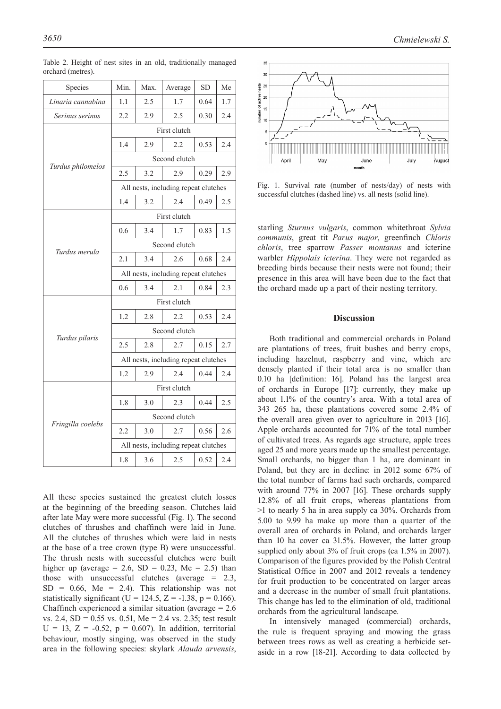| Species           | Min.                                 | Max. | Average | <b>SD</b> | Me  |  |  |  |  |
|-------------------|--------------------------------------|------|---------|-----------|-----|--|--|--|--|
| Linaria cannabina | 1.1                                  | 2.5  | 1.7     | 0.64      | 1.7 |  |  |  |  |
| Serinus serinus   | 2.2                                  | 2.9  | 2.5     | 0.30      | 2.4 |  |  |  |  |
|                   | First clutch                         |      |         |           |     |  |  |  |  |
|                   | 1.4                                  | 2.9  | 2.2     | 0.53      | 2.4 |  |  |  |  |
| Turdus philomelos | Second clutch                        |      |         |           |     |  |  |  |  |
|                   | 2.5                                  | 3.2  | 2.9     | 0.29      | 2.9 |  |  |  |  |
|                   | All nests, including repeat clutches |      |         |           |     |  |  |  |  |
|                   | 1.4                                  | 3.2  | 2.4     | 0.49      | 2.5 |  |  |  |  |
|                   | First clutch                         |      |         |           |     |  |  |  |  |
|                   | 0.6                                  | 3.4  | 1.7     | 0.83      | 1.5 |  |  |  |  |
|                   | Second clutch                        |      |         |           |     |  |  |  |  |
| Turdus merula     | 2.1                                  | 3.4  | 2.6     | 0.68      | 2.4 |  |  |  |  |
|                   | All nests, including repeat clutches |      |         |           |     |  |  |  |  |
|                   | 0.6                                  | 3.4  | 2.1     | 0.84      | 2.3 |  |  |  |  |
|                   | First clutch                         |      |         |           |     |  |  |  |  |
|                   | 1.2                                  | 2.8  | 2.2     | 0.53      | 2.4 |  |  |  |  |
|                   | Second clutch                        |      |         |           |     |  |  |  |  |
| Turdus pilaris    | 2.5                                  | 2.8  | 2.7     | 0.15      | 2.7 |  |  |  |  |
|                   | All nests, including repeat clutches |      |         |           |     |  |  |  |  |
|                   | 1.2                                  | 2.9  | 2.4     | 0.44      | 2.4 |  |  |  |  |
|                   | First clutch                         |      |         |           |     |  |  |  |  |
|                   | 1.8                                  | 3.0  | 2.3     | 0.44      | 2.5 |  |  |  |  |
|                   | Second clutch                        |      |         |           |     |  |  |  |  |
| Fringilla coelebs | 2.2                                  | 3.0  | 2.7     | 0.56      | 2.6 |  |  |  |  |
|                   | All nests, including repeat clutches |      |         |           |     |  |  |  |  |
|                   | 1.8                                  | 3.6  | 2.5     | 0.52      | 2.4 |  |  |  |  |

Table 2. Height of nest sites in an old, traditionally managed orchard (metres).

All these species sustained the greatest clutch losses at the beginning of the breeding season. Clutches laid after late May were more successful (Fig. 1). The second clutches of thrushes and chaffinch were laid in June. All the clutches of thrushes which were laid in nests at the base of a tree crown (type B) were unsuccessful. The thrush nests with successful clutches were built higher up (average = 2.6,  $SD = 0.23$ , Me = 2.5) than those with unsuccessful clutches (average = 2.3,  $SD = 0.66$ , Me = 2.4). This relationship was not statistically significant (U = 124.5, Z = -1.38, p = 0.166). Chaffinch experienced a similar situation (average  $= 2.6$ ) vs. 2.4, SD = 0.55 vs. 0.51, Me = 2.4 vs. 2.35; test result  $U = 13$ ,  $Z = -0.52$ ,  $p = 0.607$ ). In addition, territorial behaviour, mostly singing, was observed in the study area in the following species: skylark *Alauda arvensis*,



Fig. 1. Survival rate (number of nests/day) of nests with successful clutches (dashed line) vs. all nests (solid line).

starling *Sturnus vulgaris*, common whitethroat *Sylvia communis*, great tit *Parus major*, greenfinch *Chloris chloris*, tree sparrow *Passer montanus* and icterine warbler *Hippolais icterina*. They were not regarded as breeding birds because their nests were not found; their presence in this area will have been due to the fact that the orchard made up a part of their nesting territory.

#### **Discussion**

Both traditional and commercial orchards in Poland are plantations of trees, fruit bushes and berry crops, including hazelnut, raspberry and vine, which are densely planted if their total area is no smaller than 0.10 ha [definition: 16]. Poland has the largest area of orchards in Europe [17]: currently, they make up about 1.1% of the country's area. With a total area of 343 265 ha, these plantations covered some 2.4% of the overall area given over to agriculture in 2013 [16]. Apple orchards accounted for 71% of the total number of cultivated trees. As regards age structure, apple trees aged 25 and more years made up the smallest percentage. Small orchards, no bigger than 1 ha, are dominant in Poland, but they are in decline: in 2012 some 67% of the total number of farms had such orchards, compared with around 77% in 2007 [16]. These orchards supply 12.8% of all fruit crops, whereas plantations from >1 to nearly 5 ha in area supply ca 30%. Orchards from 5.00 to 9.99 ha make up more than a quarter of the overall area of orchards in Poland, and orchards larger than 10 ha cover ca 31.5%. However, the latter group supplied only about 3% of fruit crops (ca 1.5% in 2007). Comparison of the figures provided by the Polish Central Statistical Office in 2007 and 2012 reveals a tendency for fruit production to be concentrated on larger areas and a decrease in the number of small fruit plantations. This change has led to the elimination of old, traditional orchards from the agricultural landscape.

In intensively managed (commercial) orchards, the rule is frequent spraying and mowing the grass between trees rows as well as creating a herbicide setaside in a row [18-21]. According to data collected by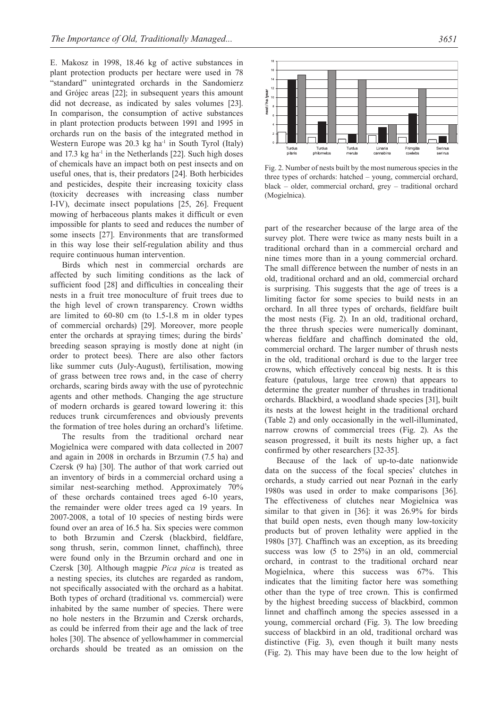E. Makosz in 1998, 18.46 kg of active substances in plant protection products per hectare were used in 78 "standard" unintegrated orchards in the Sandomierz and Grójec areas [22]; in subsequent years this amount did not decrease, as indicated by sales volumes [23]. In comparison, the consumption of active substances in plant protection products between 1991 and 1995 in orchards run on the basis of the integrated method in Western Europe was  $20.3 \text{ kg}$  ha<sup>-1</sup> in South Tyrol (Italy) and  $17.3 \text{ kg}$  ha<sup>-1</sup> in the Netherlands [22]. Such high doses of chemicals have an impact both on pest insects and on useful ones, that is, their predators [24]. Both herbicides and pesticides, despite their increasing toxicity class (toxicity decreases with increasing class number I-IV), decimate insect populations [25, 26]. Frequent mowing of herbaceous plants makes it difficult or even impossible for plants to seed and reduces the number of some insects [27]. Environments that are transformed in this way lose their self-regulation ability and thus require continuous human intervention.

Birds which nest in commercial orchards are affected by such limiting conditions as the lack of sufficient food [28] and difficulties in concealing their nests in a fruit tree monoculture of fruit trees due to the high level of crown transparency. Crown widths are limited to 60-80 cm (to 1.5-1.8 m in older types of commercial orchards) [29]. Moreover, more people enter the orchards at spraying times; during the birds' breeding season spraying is mostly done at night (in order to protect bees). There are also other factors like summer cuts (July-August), fertilisation, mowing of grass between tree rows and, in the case of cherry orchards, scaring birds away with the use of pyrotechnic agents and other methods. Changing the age structure of modern orchards is geared toward lowering it: this reduces trunk circumferences and obviously prevents the formation of tree holes during an orchard's lifetime.

The results from the traditional orchard near Mogielnica were compared with data collected in 2007 and again in 2008 in orchards in Brzumin (7.5 ha) and Czersk (9 ha) [30]. The author of that work carried out an inventory of birds in a commercial orchard using a similar nest-searching method. Approximately 70% of these orchards contained trees aged 6-10 years, the remainder were older trees aged ca 19 years. In 2007-2008, a total of 10 species of nesting birds were found over an area of 16.5 ha. Six species were common to both Brzumin and Czersk (blackbird, fieldfare, song thrush, serin, common linnet, chaffinch), three were found only in the Brzumin orchard and one in Czersk [30]. Although magpie *Pica pica* is treated as a nesting species, its clutches are regarded as random, not specifically associated with the orchard as a habitat. Both types of orchard (traditional vs. commercial) were inhabited by the same number of species. There were no hole nesters in the Brzumin and Czersk orchards, as could be inferred from their age and the lack of tree holes [30]. The absence of yellowhammer in commercial orchards should be treated as an omission on the



Fig. 2. Number of nests built by the most numerous species in the three types of orchards: hatched – young, commercial orchard, black – older, commercial orchard, grey – traditional orchard (Mogielnica).

part of the researcher because of the large area of the survey plot. There were twice as many nests built in a traditional orchard than in a commercial orchard and nine times more than in a young commercial orchard. The small difference between the number of nests in an old, traditional orchard and an old, commercial orchard is surprising. This suggests that the age of trees is a limiting factor for some species to build nests in an orchard. In all three types of orchards, fieldfare built the most nests (Fig. 2). In an old, traditional orchard, the three thrush species were numerically dominant, whereas fieldfare and chaffinch dominated the old, commercial orchard. The larger number of thrush nests in the old, traditional orchard is due to the larger tree crowns, which effectively conceal big nests. It is this feature (patulous, large tree crown) that appears to determine the greater number of thrushes in traditional orchards. Blackbird, a woodland shade species [31], built its nests at the lowest height in the traditional orchard (Table 2) and only occasionally in the well-illuminated, narrow crowns of commercial trees (Fig. 2). As the season progressed, it built its nests higher up, a fact confirmed by other researchers [32-35].

Because of the lack of up-to-date nationwide data on the success of the focal species' clutches in orchards, a study carried out near Poznań in the early 1980s was used in order to make comparisons [36]. The effectiveness of clutches near Mogielnica was similar to that given in [36]: it was 26.9% for birds that build open nests, even though many low-toxicity products but of proven lethality were applied in the 1980s [37]. Chaffinch was an exception, as its breeding success was low (5 to 25%) in an old, commercial orchard, in contrast to the traditional orchard near Mogielnica, where this success was 67%. This indicates that the limiting factor here was something other than the type of tree crown. This is confirmed by the highest breeding success of blackbird, common linnet and chaffinch among the species assessed in a young, commercial orchard (Fig. 3). The low breeding success of blackbird in an old, traditional orchard was distinctive (Fig. 3), even though it built many nests (Fig. 2). This may have been due to the low height of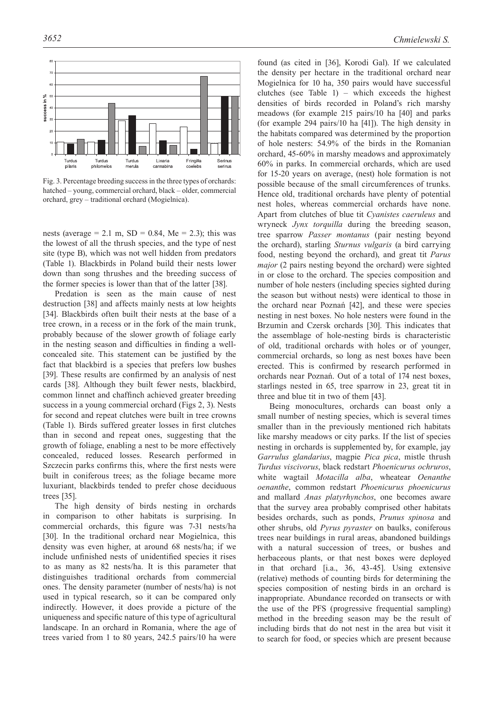

Fig. 3. Percentage breeding success in the three types of orchards: hatched – young, commercial orchard, black – older, commercial orchard, grey – traditional orchard (Mogielnica).

nests (average = 2.1 m,  $SD = 0.84$ , Me = 2.3); this was the lowest of all the thrush species, and the type of nest site (type B), which was not well hidden from predators (Table 1). Blackbirds in Poland build their nests lower down than song thrushes and the breeding success of the former species is lower than that of the latter [38].

Predation is seen as the main cause of nest destruction [38] and affects mainly nests at low heights [34]. Blackbirds often built their nests at the base of a tree crown, in a recess or in the fork of the main trunk, probably because of the slower growth of foliage early in the nesting season and difficulties in finding a wellconcealed site. This statement can be justified by the fact that blackbird is a species that prefers low bushes [39]. These results are confirmed by an analysis of nest cards [38]. Although they built fewer nests, blackbird, common linnet and chaffinch achieved greater breeding success in a young commercial orchard (Figs 2, 3). Nests for second and repeat clutches were built in tree crowns (Table 1). Birds suffered greater losses in first clutches than in second and repeat ones, suggesting that the growth of foliage, enabling a nest to be more effectively concealed, reduced losses. Research performed in Szczecin parks confirms this, where the first nests were built in coniferous trees; as the foliage became more luxuriant, blackbirds tended to prefer chose deciduous trees [35].

The high density of birds nesting in orchards in comparison to other habitats is surprising. In commercial orchards, this figure was 7-31 nests/ha [30]. In the traditional orchard near Mogielnica, this density was even higher, at around 68 nests/ha; if we include unfinished nests of unidentified species it rises to as many as 82 nests/ha. It is this parameter that distinguishes traditional orchards from commercial ones. The density parameter (number of nests/ha) is not used in typical research, so it can be compared only indirectly. However, it does provide a picture of the uniqueness and specific nature of this type of agricultural landscape. In an orchard in Romania, where the age of trees varied from 1 to 80 years, 242.5 pairs/10 ha were

found (as cited in [36], Korodi Gal). If we calculated the density per hectare in the traditional orchard near Mogielnica for 10 ha, 350 pairs would have successful clutches (see Table 1) – which exceeds the highest densities of birds recorded in Poland's rich marshy meadows (for example 215 pairs/10 ha [40] and parks (for example 294 pairs/10 ha [41]). The high density in the habitats compared was determined by the proportion of hole nesters: 54.9% of the birds in the Romanian orchard, 45-60% in marshy meadows and approximately 60% in parks. In commercial orchards, which are used for 15-20 years on average, (nest) hole formation is not possible because of the small circumferences of trunks. Hence old, traditional orchards have plenty of potential nest holes, whereas commercial orchards have none. Apart from clutches of blue tit *Cyanistes caeruleus* and wryneck *Jynx torquilla* during the breeding season, tree sparrow *Passer montanus* (pair nesting beyond the orchard), starling *Sturnus vulgaris* (a bird carrying food, nesting beyond the orchard), and great tit *Parus major* (2 pairs nesting beyond the orchard) were sighted in or close to the orchard. The species composition and number of hole nesters (including species sighted during the season but without nests) were identical to those in the orchard near Poznań [42], and these were species nesting in nest boxes. No hole nesters were found in the Brzumin and Czersk orchards [30]. This indicates that the assemblage of hole-nesting birds is characteristic of old, traditional orchards with holes or of younger, commercial orchards, so long as nest boxes have been erected. This is confirmed by research performed in orchards near Poznań. Out of a total of 174 nest boxes, starlings nested in 65, tree sparrow in 23, great tit in three and blue tit in two of them [43].

Being monocultures, orchards can boast only a small number of nesting species, which is several times smaller than in the previously mentioned rich habitats like marshy meadows or city parks. If the list of species nesting in orchards is supplemented by, for example, jay *Garrulus glandarius*, magpie *Pica pica*, mistle thrush *Turdus viscivorus*, black redstart *Phoenicurus ochruros*, white wagtail *Motacilla alba*, wheatear *Oenanthe oenanthe*, common redstart *Phoenicurus phoenicurus* and mallard *Anas platyrhynchos*, one becomes aware that the survey area probably comprised other habitats besides orchards, such as ponds, *Prunus spinosa* and other shrubs, old *Pyrus pyraster* on baulks, coniferous trees near buildings in rural areas, abandoned buildings with a natural succession of trees, or bushes and herbaceous plants, or that nest boxes were deployed in that orchard [i.a., 36, 43-45]. Using extensive (relative) methods of counting birds for determining the species composition of nesting birds in an orchard is inappropriate. Abundance recorded on transects or with the use of the PFS (progressive frequential sampling) method in the breeding season may be the result of including birds that do not nest in the area but visit it to search for food, or species which are present because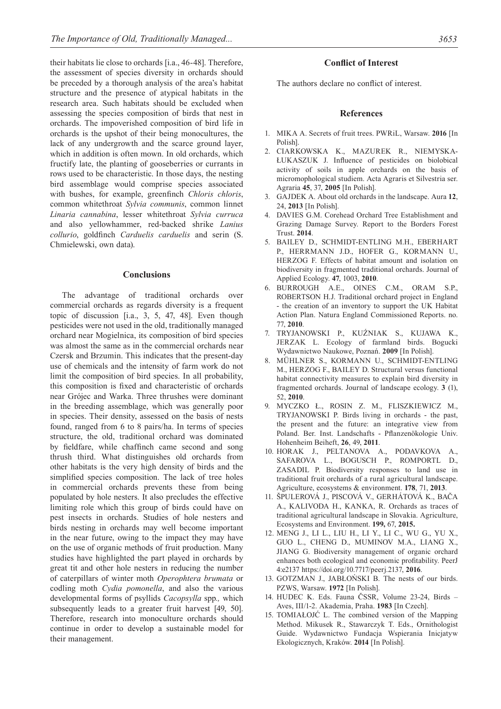their habitats lie close to orchards [i.a., 46-48]. Therefore, the assessment of species diversity in orchards should be preceded by a thorough analysis of the area's habitat structure and the presence of atypical habitats in the research area. Such habitats should be excluded when assessing the species composition of birds that nest in orchards. The impoverished composition of bird life in orchards is the upshot of their being monocultures, the lack of any undergrowth and the scarce ground layer, which in addition is often mown. In old orchards, which fructify late, the planting of gooseberries or currants in rows used to be characteristic. In those days, the nesting bird assemblage would comprise species associated with bushes, for example, greenfinch *Chloris chloris*, common whitethroat *Sylvia communis*, common linnet *Linaria cannabina*, lesser whitethroat *Sylvia curruca* and also yellowhammer, red-backed shrike *Lanius collurio*, goldfinch *Carduelis carduelis* and serin (S. Chmielewski, own data).

### **Conclusions**

The advantage of traditional orchards over commercial orchards as regards diversity is a frequent topic of discussion [i.a., 3, 5, 47, 48]. Even though pesticides were not used in the old, traditionally managed orchard near Mogielnica, its composition of bird species was almost the same as in the commercial orchards near Czersk and Brzumin. This indicates that the present-day use of chemicals and the intensity of farm work do not limit the composition of bird species. In all probability, this composition is fixed and characteristic of orchards near Grójec and Warka. Three thrushes were dominant in the breeding assemblage, which was generally poor in species. Their density, assessed on the basis of nests found, ranged from 6 to 8 pairs/ha. In terms of species structure, the old, traditional orchard was dominated by fieldfare, while chaffinch came second and song thrush third. What distinguishes old orchards from other habitats is the very high density of birds and the simplified species composition. The lack of tree holes in commercial orchards prevents these from being populated by hole nesters. It also precludes the effective limiting role which this group of birds could have on pest insects in orchards. Studies of hole nesters and birds nesting in orchards may well become important in the near future, owing to the impact they may have on the use of organic methods of fruit production. Many studies have highlighted the part played in orchards by great tit and other hole nesters in reducing the number of caterpillars of winter moth *Operophtera brumata* or codling moth *Cydia pomonella*, and also the various developmental forms of psyllids *Cacopsylla* spp*.,* which subsequently leads to a greater fruit harvest [49, 50]. Therefore, research into monoculture orchards should continue in order to develop a sustainable model for their management.

# **Conflict of Interest**

The authors declare no conflict of interest.

#### **References**

- 1. MIKA A. Secrets of fruit trees. PWRiL, Warsaw. **2016** [In Polish].
- 2. CIARKOWSKA K., MAZUREK R., NIEMYSKA-ŁUKASZUK J. Influence of pesticides on biolobical activity of soils in apple orchards on the basis of micromophological studiem. Acta Agraris et Silvestria ser. Agraria **45**, 37, **2005** [In Polish].
- 3. GAJDEK A. About old orchards in the landscape. Aura **12**, 24, **2013** [In Polish].
- 4. DAVIES G.M. Corehead Orchard Tree Establishment and Grazing Damage Survey. Report to the Borders Forest Trust. **2014**.
- 5. BAILEY D., SCHMIDT-ENTLING M.H., EBERHART P., HERRMANN J.D., HOFER G., KORMANN U., HERZOG F. Effects of habitat amount and isolation on biodiversity in fragmented traditional orchards. Journal of Applied Ecology. **47**, 1003, **2010**.
- 6. BURROUGH A.E., OINES C.M., ORAM S.P., ROBERTSON H.J. Traditional orchard project in England - the creation of an inventory to support the UK Habitat Action Plan. Natura England Commissioned Reports. no. 77, **2010**.
- 7. TRYJANOWSKI P., KUŹNIAK S., KUJAWA K., JERZAK L. Ecology of farmland birds. Bogucki Wydawnictwo Naukowe, Poznań. **2009** [In Polish].
- 8. MÜHLNER S., KORMANN U., SCHMIDT-ENTLING M., HERZOG F., BAILEY D. Structural versus functional habitat connectivity measures to explain bird diversity in fragmented orchards. Journal of landscape ecology. **3** (1), 52, **2010**.
- 9. MYCZKO Ł., ROSIN Z. M., FLISZKIEWICZ M., TRYJANOWSKI P. Birds living in orchards - the past, the present and the future: an integrative view from Poland. Ber. Inst. Landschafts - Pflanzenökologie Univ. Hohenheim Beiheft, **26**, 49, **2011**.
- 10. HORAK J., PELTANOVA A., PODAVKOVA A., SAFAROVA L., BOGUSCH P., ROMPORTL D., ZASADIL P. Biodiversity responses to land use in traditional fruit orchards of a rural agricultural landscape. Agriculture, ecosystems & environment. **178**, 71, **2013**.
- 11. ŠPULEROVÁ J., PISCOVÁ V., GERHÁTOVÁ K., BAČA A., KALIVODA H., KANKA, R. Orchards as traces of traditional agricultural landscape in Slovakia. Agriculture, Ecosystems and Environment. **199,** 67, **2015.**
- 12. MENG J., LI L., LIU H., LI Y., LI C., WU G., YU X., GUO L., CHENG D., MUMINOV M.A., LIANG X., JIANG G. Biodiversity management of organic orchard enhances both ecological and economic profitability. PeerJ 4:e2137 https://doi.org/10.7717/peerj.2137, **2016**.
- 13. GOTZMAN J., JABŁOŃSKI B. The nests of our birds. PZWS, Warsaw. **1972** [In Polish].
- 14. HUDEC K. Eds. Fauna ČSSR, Volume 23-24, Birds Aves, III/1-2. Akademia, Praha. **1983** [In Czech].
- 15. TOMIAŁOJĆ L. The combined version of the Mapping Method. Mikusek R., Stawarczyk T. Eds., Ornithologist Guide. Wydawnictwo Fundacja Wspierania Inicjatyw Ekologicznych, Kraków. **2014** [In Polish].